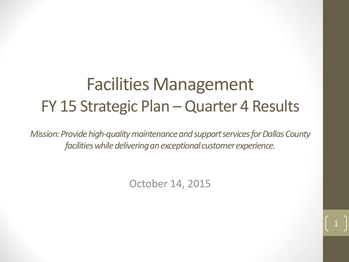# Facilities Management FY 15 Strategic Plan – Quarter 4 Results

*Mission: Provide high-quality maintenance and support services for Dallas County facilities while delivering an exceptional customer experience.*

October 14, 2015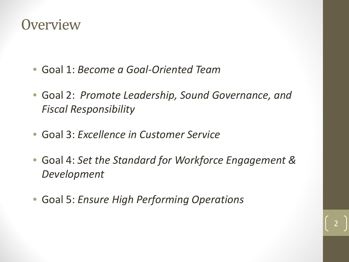### **Overview**

- Goal 1: *Become a Goal-Oriented Team*
- Goal 2: *Promote Leadership, Sound Governance, and Fiscal Responsibility*
- Goal 3: *Excellence in Customer Service*
- Goal 4: *Set the Standard for Workforce Engagement & Development*
- Goal 5: *Ensure High Performing Operations*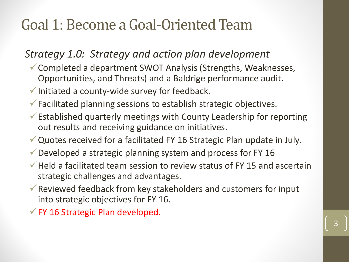### *Strategy 1.0: Strategy and action plan development*

- Completed a department SWOT Analysis (Strengths, Weaknesses, Opportunities, and Threats) and a Baldrige performance audit.
- $\checkmark$  Initiated a county-wide survey for feedback.
- $\checkmark$  Facilitated planning sessions to establish strategic objectives.
- $\checkmark$  Established quarterly meetings with County Leadership for reporting out results and receiving guidance on initiatives.
- Quotes received for a facilitated FY 16 Strategic Plan update in July.
- $\checkmark$  Developed a strategic planning system and process for FY 16
- $\checkmark$  Held a facilitated team session to review status of FY 15 and ascertain strategic challenges and advantages.

- $\checkmark$  Reviewed feedback from key stakeholders and customers for input into strategic objectives for FY 16.
- $\checkmark$  FY 16 Strategic Plan developed.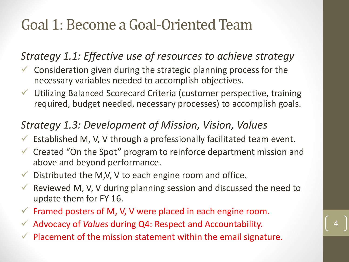### *Strategy 1.1: Effective use of resources to achieve strategy*

- $\checkmark$  Consideration given during the strategic planning process for the necessary variables needed to accomplish objectives.
- Utilizing Balanced Scorecard Criteria (customer perspective, training required, budget needed, necessary processes) to accomplish goals.

### *Strategy 1.3: Development of Mission, Vision, Values*

- $\checkmark$  Established M, V, V through a professionally facilitated team event.
- $\checkmark$  Created "On the Spot" program to reinforce department mission and above and beyond performance.
- $\checkmark$  Distributed the M,V, V to each engine room and office.
- $\checkmark$  Reviewed M, V, V during planning session and discussed the need to update them for FY 16.

- $\checkmark$  Framed posters of M, V, V were placed in each engine room.
- Advocacy of *Values* during Q4: Respect and Accountability.
- $\sqrt{ }$  Placement of the mission statement within the email signature.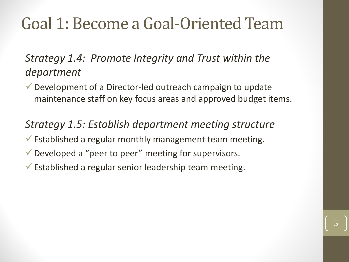*Strategy 1.4: Promote Integrity and Trust within the department*

Development of a Director-led outreach campaign to update maintenance staff on key focus areas and approved budget items.

5

*Strategy 1.5: Establish department meeting structure* 

- $\checkmark$  Established a regular monthly management team meeting.
- Developed a "peer to peer" meeting for supervisors.
- $\checkmark$  Established a regular senior leadership team meeting.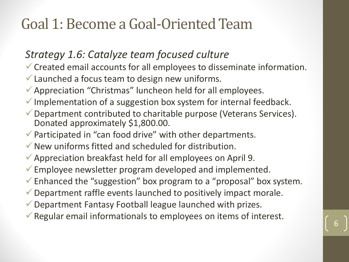### *Strategy 1.6: Catalyze team focused culture*

- Created email accounts for all employees to disseminate information.
- $\checkmark$  Launched a focus team to design new uniforms.
- Appreciation "Christmas" luncheon held for all employees.
- $\checkmark$  Implementation of a suggestion box system for internal feedback.
- Department contributed to charitable purpose (Veterans Services). Donated approximately \$1,800.00.
- $\checkmark$  Participated in "can food drive" with other departments.
- $\checkmark$  New uniforms fitted and scheduled for distribution.
- $\checkmark$  Appreciation breakfast held for all employees on April 9.
- Employee newsletter program developed and implemented.
- $\checkmark$  Enhanced the "suggestion" box program to a "proposal" box system.
- Department raffle events launched to positively impact morale.
- Department Fantasy Football league launched with prizes.
- $\checkmark$  Regular email informationals to employees on items of interest.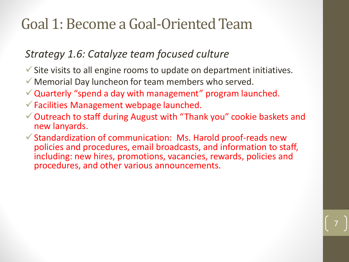### *Strategy 1.6: Catalyze team focused culture*

- $\checkmark$  Site visits to all engine rooms to update on department initiatives.
- Memorial Day luncheon for team members who served.
- $\checkmark$  Quarterly "spend a day with management" program launched.
- $\checkmark$  Facilities Management webpage launched.
- Outreach to staff during August with "Thank you" cookie baskets and new lanyards.
- $\checkmark$  Standardization of communication: Ms. Harold proof-reads new policies and procedures, email broadcasts, and information to staff, including: new hires, promotions, vacancies, rewards, policies and procedures, and other various announcements.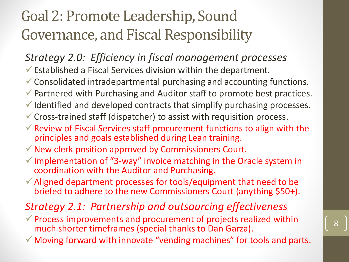### *Strategy 2.0: Efficiency in fiscal management processes*

- $\checkmark$  Established a Fiscal Services division within the department.
- Consolidated intradepartmental purchasing and accounting functions.
- ◆ Partnered with Purchasing and Auditor staff to promote best practices.
- $\checkmark$  Identified and developed contracts that simplify purchasing processes.
- Cross-trained staff (dispatcher) to assist with requisition process.
- $\checkmark$  Review of Fiscal Services staff procurement functions to align with the principles and goals established during Lean training.
- $\checkmark$  New clerk position approved by Commissioners Court.
- $\checkmark$  Implementation of "3-way" invoice matching in the Oracle system in coordination with the Auditor and Purchasing.
- $\checkmark$  Aligned department processes for tools/equipment that need to be briefed to adhere to the new Commissioners Court (anything \$50+).

### *Strategy 2.1: Partnership and outsourcing effectiveness*

- $\checkmark$  Process improvements and procurement of projects realized within much shorter timeframes (special thanks to Dan Garza).
- $\checkmark$  Moving forward with innovate "vending machines" for tools and parts.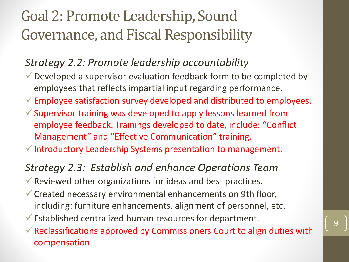#### *Strategy 2.2: Promote leadership accountability*

- $\checkmark$  Developed a supervisor evaluation feedback form to be completed by employees that reflects impartial input regarding performance.
- $\checkmark$  Employee satisfaction survey developed and distributed to employees.
- $\checkmark$  Supervisor training was developed to apply lessons learned from employee feedback. Trainings developed to date, include: "Conflict Management" and "Effective Communication" training.
- $\checkmark$  Introductory Leadership Systems presentation to management.

#### *Strategy 2.3: Establish and enhance Operations Team*

- $\checkmark$  Reviewed other organizations for ideas and best practices.
- Created necessary environmental enhancements on 9th floor, including: furniture enhancements, alignment of personnel, etc.
- $\checkmark$  Established centralized human resources for department.
- $\checkmark$  Reclassifications approved by Commissioners Court to align duties with compensation.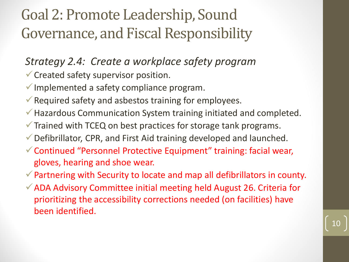*Strategy 2.4: Create a workplace safety program*

- $\checkmark$  Created safety supervisor position.
- $\checkmark$  Implemented a safety compliance program.
- $\checkmark$  Required safety and asbestos training for employees.
- Hazardous Communication System training initiated and completed.
- $\checkmark$  Trained with TCEQ on best practices for storage tank programs.
- Defibrillator, CPR, and First Aid training developed and launched.
- Continued "Personnel Protective Equipment" training: facial wear, gloves, hearing and shoe wear.
- $\checkmark$  Partnering with Security to locate and map all defibrillators in county.
- $\checkmark$  ADA Advisory Committee initial meeting held August 26. Criteria for prioritizing the accessibility corrections needed (on facilities) have been identified.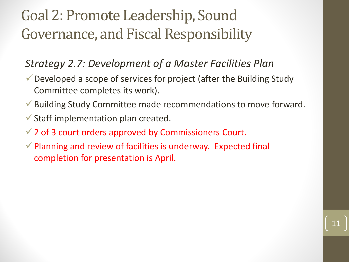### *Strategy 2.7: Development of a Master Facilities Plan*

- Developed a scope of services for project (after the Building Study Committee completes its work).
- Building Study Committee made recommendations to move forward.

- $\checkmark$  Staff implementation plan created.
- $\checkmark$  2 of 3 court orders approved by Commissioners Court.
- $\checkmark$  Planning and review of facilities is underway. Expected final completion for presentation is April.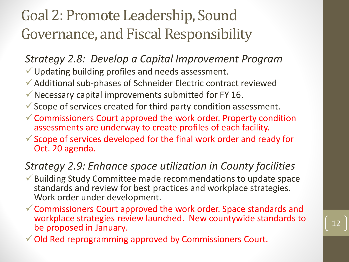*Strategy 2.8: Develop a Capital Improvement Program*

- Updating building profiles and needs assessment.
- Additional sub-phases of Schneider Electric contract reviewed
- $\checkmark$  Necessary capital improvements submitted for FY 16.
- $\checkmark$  Scope of services created for third party condition assessment.
- $\checkmark$  Commissioners Court approved the work order. Property condition assessments are underway to create profiles of each facility.
- $\checkmark$  Scope of services developed for the final work order and ready for Oct. 20 agenda.

### *Strategy 2.9: Enhance space utilization in County facilities*

- Building Study Committee made recommendations to update space standards and review for best practices and workplace strategies. Work order under development.
- $\checkmark$  Commissioners Court approved the work order. Space standards and workplace strategies review launched. New countywide standards to be proposed in January.

Old Red reprogramming approved by Commissioners Court.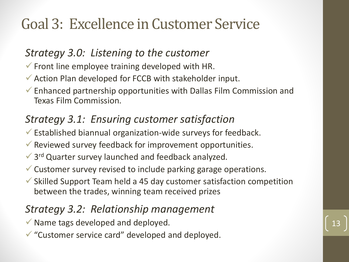## Goal 3: Excellence in Customer Service

### *Strategy 3.0: Listening to the customer*

- $\checkmark$  Front line employee training developed with HR.
- Action Plan developed for FCCB with stakeholder input.
- $\checkmark$  Enhanced partnership opportunities with Dallas Film Commission and Texas Film Commission.

### *Strategy 3.1: Ensuring customer satisfaction*

- $\checkmark$  Established biannual organization-wide surveys for feedback.
- $\checkmark$  Reviewed survey feedback for improvement opportunities.
- $\checkmark$  3<sup>rd</sup> Quarter survey launched and feedback analyzed.
- $\checkmark$  Customer survey revised to include parking garage operations.
- $\checkmark$  Skilled Support Team held a 45 day customer satisfaction competition between the trades, winning team received prizes

### *Strategy 3.2: Relationship management*

- $\checkmark$  Name tags developed and deployed.
- $\checkmark$  "Customer service card" developed and deployed.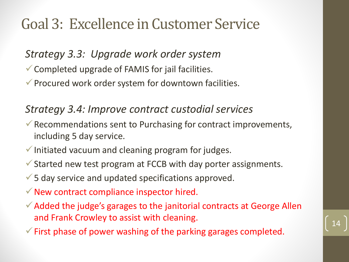### Goal 3: Excellence in Customer Service

### *Strategy 3.3: Upgrade work order system*

- Completed upgrade of FAMIS for jail facilities.
- $\checkmark$  Procured work order system for downtown facilities.

#### *Strategy 3.4: Improve contract custodial services*

- $\checkmark$  Recommendations sent to Purchasing for contract improvements, including 5 day service.
- $\checkmark$  Initiated vacuum and cleaning program for judges.
- $\checkmark$  Started new test program at FCCB with day porter assignments.
- $\checkmark$  5 day service and updated specifications approved.
- $\checkmark$  New contract compliance inspector hired.
- $\checkmark$  Added the judge's garages to the janitorial contracts at George Allen and Frank Crowley to assist with cleaning.
- $\checkmark$  First phase of power washing of the parking garages completed.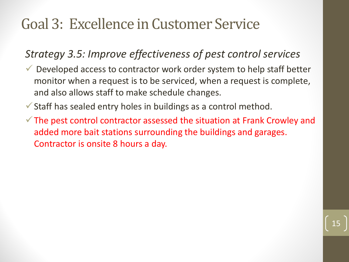### Goal 3: Excellence in Customer Service

### *Strategy 3.5: Improve effectiveness of pest control services*

- $\vee$  Developed access to contractor work order system to help staff better monitor when a request is to be serviced, when a request is complete, and also allows staff to make schedule changes.
- $\checkmark$  Staff has sealed entry holes in buildings as a control method.
- $\checkmark$  The pest control contractor assessed the situation at Frank Crowley and added more bait stations surrounding the buildings and garages. Contractor is onsite 8 hours a day.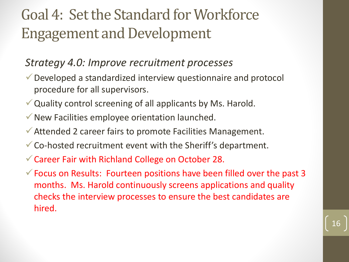#### *Strategy 4.0: Improve recruitment processes*

- Developed a standardized interview questionnaire and protocol procedure for all supervisors.
- $\vee$  Quality control screening of all applicants by Ms. Harold.
- $\checkmark$  New Facilities employee orientation launched.
- Attended 2 career fairs to promote Facilities Management.
- Co-hosted recruitment event with the Sheriff's department.
- Career Fair with Richland College on October 28.
- $\checkmark$  Focus on Results: Fourteen positions have been filled over the past 3 months. Ms. Harold continuously screens applications and quality checks the interview processes to ensure the best candidates are hired.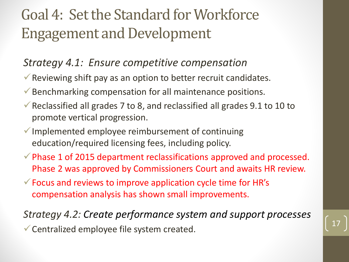#### *Strategy 4.1: Ensure competitive compensation*

- $\checkmark$  Reviewing shift pay as an option to better recruit candidates.
- $\checkmark$  Benchmarking compensation for all maintenance positions.
- Reclassified all grades 7 to 8, and reclassified all grades  $9.1$  to 10 to promote vertical progression.
- $\checkmark$  Implemented employee reimbursement of continuing education/required licensing fees, including policy.
- $\checkmark$  Phase 1 of 2015 department reclassifications approved and processed. Phase 2 was approved by Commissioners Court and awaits HR review.
- $\checkmark$  Focus and reviews to improve application cycle time for HR's compensation analysis has shown small improvements.

*Strategy 4.2: Create performance system and support processes*  $\checkmark$  Centralized employee file system created.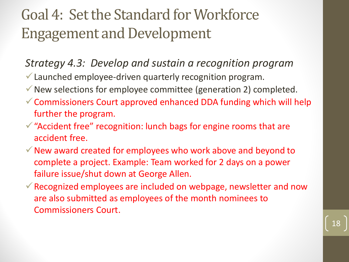### *Strategy 4.3: Develop and sustain a recognition program*

- Launched employee-driven quarterly recognition program.
- $\checkmark$  New selections for employee committee (generation 2) completed.
- $\checkmark$  Commissioners Court approved enhanced DDA funding which will help further the program.
- $\checkmark$  "Accident free" recognition: lunch bags for engine rooms that are accident free.
- $\checkmark$  New award created for employees who work above and beyond to complete a project. Example: Team worked for 2 days on a power failure issue/shut down at George Allen.
- $\checkmark$  Recognized employees are included on webpage, newsletter and now are also submitted as employees of the month nominees to Commissioners Court.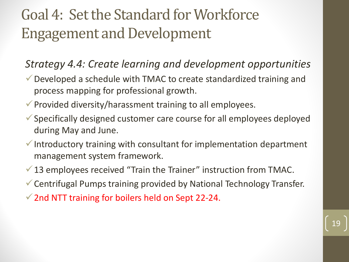### *Strategy 4.4: Create learning and development opportunities*

- Developed a schedule with TMAC to create standardized training and process mapping for professional growth.
- $\checkmark$  Provided diversity/harassment training to all employees.
- Specifically designed customer care course for all employees deployed during May and June.
- $\checkmark$  Introductory training with consultant for implementation department management system framework.
- $\checkmark$  13 employees received "Train the Trainer" instruction from TMAC.
- Centrifugal Pumps training provided by National Technology Transfer.
- $\checkmark$  2nd NTT training for boilers held on Sept 22-24.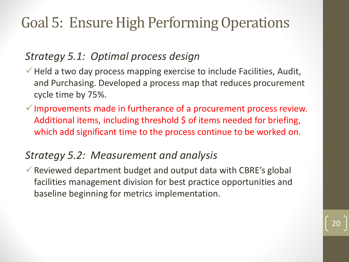### *Strategy 5.1: Optimal process design*

- $\checkmark$  Held a two day process mapping exercise to include Facilities, Audit, and Purchasing. Developed a process map that reduces procurement cycle time by 75%.
- $\checkmark$  Improvements made in furtherance of a procurement process review. Additional items, including threshold \$ of items needed for briefing, which add significant time to the process continue to be worked on.

### *Strategy 5.2: Measurement and analysis*

 $\checkmark$  Reviewed department budget and output data with CBRE's global facilities management division for best practice opportunities and baseline beginning for metrics implementation.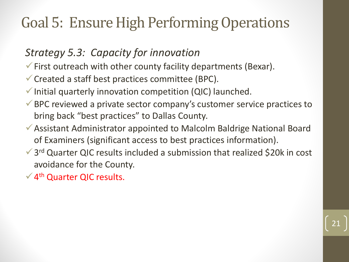### *Strategy 5.3: Capacity for innovation*

- $\checkmark$  First outreach with other county facility departments (Bexar).
- $\checkmark$  Created a staff best practices committee (BPC).
- $\checkmark$  Initial quarterly innovation competition (QIC) launched.
- BPC reviewed a private sector company's customer service practices to bring back "best practices" to Dallas County.
- Assistant Administrator appointed to Malcolm Baldrige National Board of Examiners (significant access to best practices information).
- $\checkmark$  3<sup>rd</sup> Quarter QIC results included a submission that realized \$20k in cost avoidance for the County.

21

 $\sqrt{4}$ <sup>th</sup> Quarter QIC results.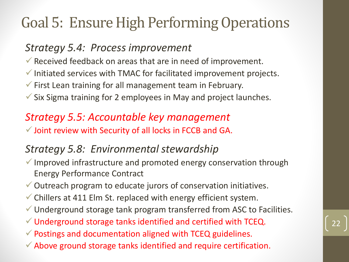### *Strategy 5.4: Process improvement*

- $\checkmark$  Received feedback on areas that are in need of improvement.
- $\checkmark$  Initiated services with TMAC for facilitated improvement projects.
- $\checkmark$  First Lean training for all management team in February.
- $\checkmark$  Six Sigma training for 2 employees in May and project launches.

### *Strategy 5.5: Accountable key management*

 $\checkmark$  Joint review with Security of all locks in FCCB and GA.

### *Strategy 5.8: Environmental stewardship*

- $\checkmark$  Improved infrastructure and promoted energy conservation through Energy Performance Contract
- Outreach program to educate jurors of conservation initiatives.
- $\checkmark$  Chillers at 411 Elm St. replaced with energy efficient system.
- Underground storage tank program transferred from ASC to Facilities.

- $\checkmark$  Underground storage tanks identified and certified with TCEQ.
- $\checkmark$  Postings and documentation aligned with TCEQ guidelines.
- $\checkmark$  Above ground storage tanks identified and require certification.